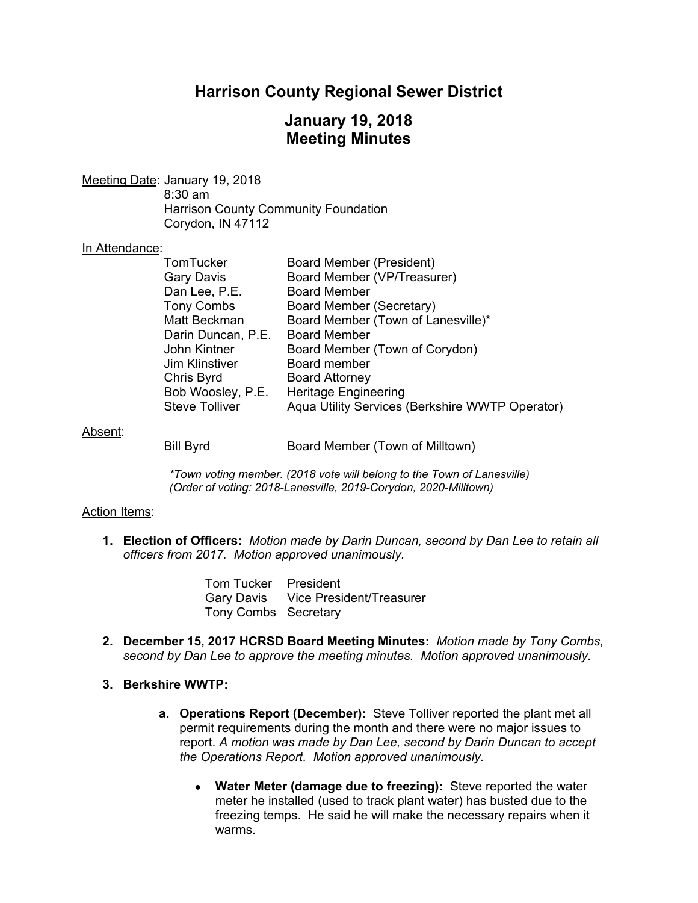# **Harrison County Regional Sewer District**

# **January 19, 2018 Meeting Minutes**

Meeting Date: January 19, 2018 8:30 am Harrison County Community Foundation Corydon, IN 47112

#### In Attendance:

| TomTucker             | <b>Board Member (President)</b>                 |
|-----------------------|-------------------------------------------------|
| <b>Gary Davis</b>     | Board Member (VP/Treasurer)                     |
| Dan Lee, P.E.         | <b>Board Member</b>                             |
| <b>Tony Combs</b>     | Board Member (Secretary)                        |
| Matt Beckman          | Board Member (Town of Lanesville)*              |
| Darin Duncan, P.E.    | <b>Board Member</b>                             |
| John Kintner          | Board Member (Town of Corydon)                  |
| <b>Jim Klinstiver</b> | Board member                                    |
| Chris Byrd            | <b>Board Attorney</b>                           |
| Bob Woosley, P.E.     | <b>Heritage Engineering</b>                     |
| <b>Steve Tolliver</b> | Aqua Utility Services (Berkshire WWTP Operator) |
|                       |                                                 |

#### Absent:

Bill Byrd Board Member (Town of Milltown)

*\*Town voting member. (2018 vote will belong to the Town of Lanesville) (Order of voting: 2018-Lanesville, 2019-Corydon, 2020-Milltown)* 

#### Action Items:

**1. Election of Officers:** *Motion made by Darin Duncan, second by Dan Lee to retain all officers from 2017. Motion approved unanimously.* 

> Tom Tucker President Gary Davis Vice President/Treasurer Tony Combs Secretary

**2. December 15, 2017 HCRSD Board Meeting Minutes:** *Motion made by Tony Combs, second by Dan Lee to approve the meeting minutes. Motion approved unanimously.*

#### **3. Berkshire WWTP:**

- **a. Operations Report (December):** Steve Tolliver reported the plant met all permit requirements during the month and there were no major issues to report. *A motion was made by Dan Lee, second by Darin Duncan to accept the Operations Report. Motion approved unanimously.* 
	- Water Meter (damage due to freezing): Steve reported the water meter he installed (used to track plant water) has busted due to the freezing temps. He said he will make the necessary repairs when it warms.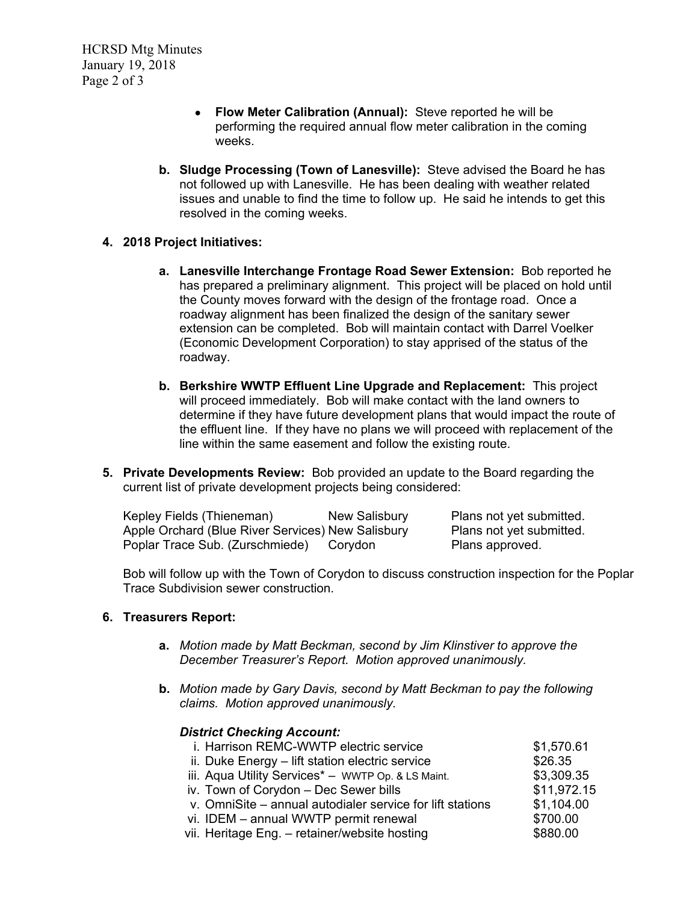- **Flow Meter Calibration (Annual):**Steve reported he will be performing the required annual flow meter calibration in the coming weeks.
- **b. Sludge Processing (Town of Lanesville):** Steve advised the Board he has not followed up with Lanesville. He has been dealing with weather related issues and unable to find the time to follow up. He said he intends to get this resolved in the coming weeks.
- **4. 2018 Project Initiatives:**
	- **a. Lanesville Interchange Frontage Road Sewer Extension:** Bob reported he has prepared a preliminary alignment. This project will be placed on hold until the County moves forward with the design of the frontage road. Once a roadway alignment has been finalized the design of the sanitary sewer extension can be completed. Bob will maintain contact with Darrel Voelker (Economic Development Corporation) to stay apprised of the status of the roadway.
	- **b. Berkshire WWTP Effluent Line Upgrade and Replacement:** This project will proceed immediately. Bob will make contact with the land owners to determine if they have future development plans that would impact the route of the effluent line. If they have no plans we will proceed with replacement of the line within the same easement and follow the existing route.
- **5. Private Developments Review:** Bob provided an update to the Board regarding the current list of private development projects being considered:

| Kepley Fields (Thieneman)                         | New Salisbury | Plans not yet submitted. |
|---------------------------------------------------|---------------|--------------------------|
| Apple Orchard (Blue River Services) New Salisbury |               | Plans not yet submitted. |
| Poplar Trace Sub. (Zurschmiede)                   | Corvdon       | Plans approved.          |

Bob will follow up with the Town of Corydon to discuss construction inspection for the Poplar Trace Subdivision sewer construction.

### **6. Treasurers Report:**

- **a.** *Motion made by Matt Beckman, second by Jim Klinstiver to approve the December Treasurer's Report. Motion approved unanimously.*
- **b.** *Motion made by Gary Davis, second by Matt Beckman to pay the following claims. Motion approved unanimously.*

### *District Checking Account:*

| i. Harrison REMC-WWTP electric service                    | \$1,570.61  |
|-----------------------------------------------------------|-------------|
| ii. Duke Energy - lift station electric service           | \$26.35     |
| iii. Aqua Utility Services* - WWTP Op. & LS Maint.        | \$3,309.35  |
| iv. Town of Corydon - Dec Sewer bills                     | \$11,972.15 |
| v. OmniSite - annual autodialer service for lift stations | \$1,104.00  |
| vi. IDEM - annual WWTP permit renewal                     | \$700.00    |
| vii. Heritage Eng. - retainer/website hosting             | \$880.00    |
|                                                           |             |